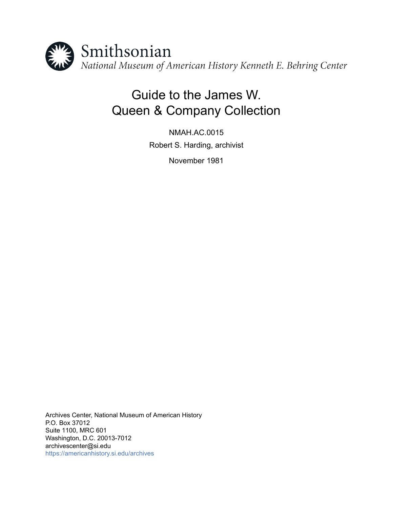

# Guide to the James W. Queen & Company Collection

NMAH.AC.0015 Robert S. Harding, archivist

November 1981

Archives Center, National Museum of American History P.O. Box 37012 Suite 1100, MRC 601 Washington, D.C. 20013-7012 archivescenter@si.edu <https://americanhistory.si.edu/archives>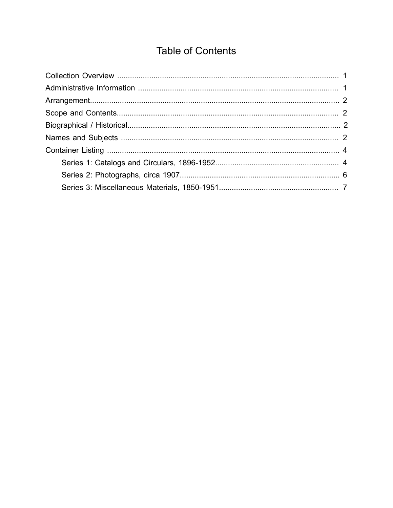# **Table of Contents**

<span id="page-1-0"></span>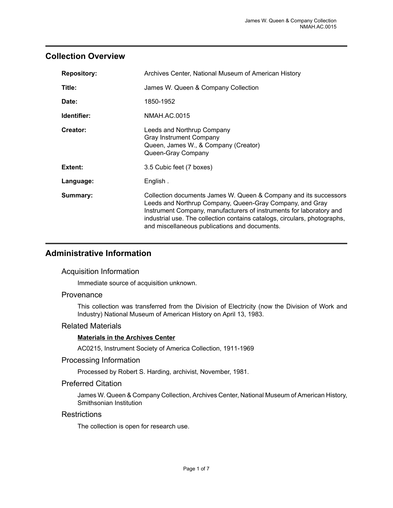### <span id="page-2-0"></span>**Collection Overview**

| <b>Repository:</b> | Archives Center, National Museum of American History                                                                                                                                                                                                                                                                              |
|--------------------|-----------------------------------------------------------------------------------------------------------------------------------------------------------------------------------------------------------------------------------------------------------------------------------------------------------------------------------|
| Title:             | James W. Queen & Company Collection                                                                                                                                                                                                                                                                                               |
| Date:              | 1850-1952                                                                                                                                                                                                                                                                                                                         |
| Identifier:        | NMAH.AC.0015                                                                                                                                                                                                                                                                                                                      |
| Creator:           | Leeds and Northrup Company<br><b>Gray Instrument Company</b><br>Queen, James W., & Company (Creator)<br>Queen-Gray Company                                                                                                                                                                                                        |
| Extent:            | 3.5 Cubic feet (7 boxes)                                                                                                                                                                                                                                                                                                          |
| Language:          | English.                                                                                                                                                                                                                                                                                                                          |
| Summary:           | Collection documents James W. Queen & Company and its successors<br>Leeds and Northrup Company, Queen-Gray Company, and Gray<br>Instrument Company, manufacturers of instruments for laboratory and<br>industrial use. The collection contains catalogs, circulars, photographs,<br>and miscellaneous publications and documents. |

### <span id="page-2-1"></span>**Administrative Information**

#### Acquisition Information

Immediate source of acquisition unknown.

#### **Provenance**

This collection was transferred from the Division of Electricity (now the Division of Work and Industry) National Museum of American History on April 13, 1983.

#### Related Materials

#### **Materials in the Archives Center**

AC0215, Instrument Society of America Collection, 1911-1969

#### Processing Information

Processed by Robert S. Harding, archivist, November, 1981.

#### Preferred Citation

James W. Queen & Company Collection, Archives Center, National Museum of American History, Smithsonian Institution

#### **Restrictions**

The collection is open for research use.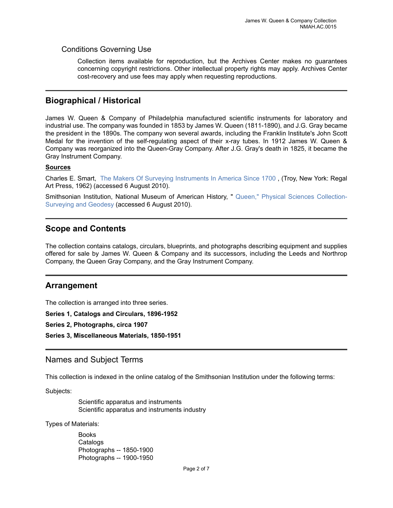#### Conditions Governing Use

Collection items available for reproduction, but the Archives Center makes no guarantees concerning copyright restrictions. Other intellectual property rights may apply. Archives Center cost-recovery and use fees may apply when requesting reproductions.

#### <span id="page-3-2"></span>**Biographical / Historical**

James W. Queen & Company of Philadelphia manufactured scientific instruments for laboratory and industrial use. The company was founded in 1853 by James W. Queen (1811-1890), and J.G. Gray became the president in the 1890s. The company won several awards, including the Franklin Institute's John Scott Medal for the invention of the self-regulating aspect of their x-ray tubes. In 1912 James W. Queen & Company was reorganized into the Queen-Gray Company. After J.G. Gray's death in 1825, it became the Gray Instrument Company.

#### **Sources**

Charles E. Smart, [The Makers Of Surveying Instruments In America Since 1700](http://www.surveyhistory.org/james_w__queen1.htm) , (Troy, New York: Regal Art Press, 1962) (accessed 6 August 2010).

Smithsonian Institution, National Museum of American History, " [Queen," Physical Sciences Collection-](http://amhistory.si.edu/surveying/)[Surveying and Geodesy](http://amhistory.si.edu/surveying/) (accessed 6 August 2010).

#### <span id="page-3-1"></span>**Scope and Contents**

The collection contains catalogs, circulars, blueprints, and photographs describing equipment and supplies offered for sale by James W. Queen & Company and its successors, including the Leeds and Northrop Company, the Queen Gray Company, and the Gray Instrument Company.

#### <span id="page-3-0"></span>**Arrangement**

The collection is arranged into three series.

**Series 1, Catalogs and Circulars, 1896-1952**

**Series 2, Photographs, circa 1907**

**Series 3, Miscellaneous Materials, 1850-1951**

#### <span id="page-3-3"></span>Names and Subject Terms

This collection is indexed in the online catalog of the Smithsonian Institution under the following terms:

Subjects:

Scientific apparatus and instruments Scientific apparatus and instruments industry

Types of Materials:

Books **Catalogs** Photographs -- 1850-1900 Photographs -- 1900-1950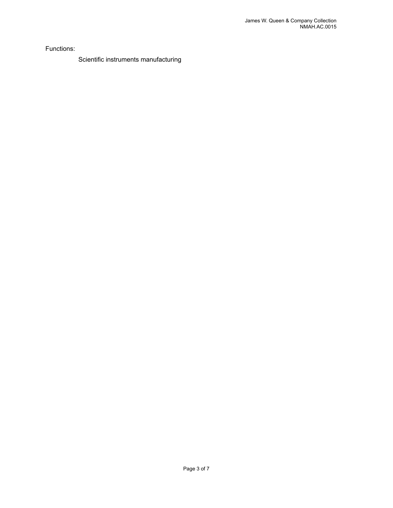Functions:

Scientific instruments manufacturing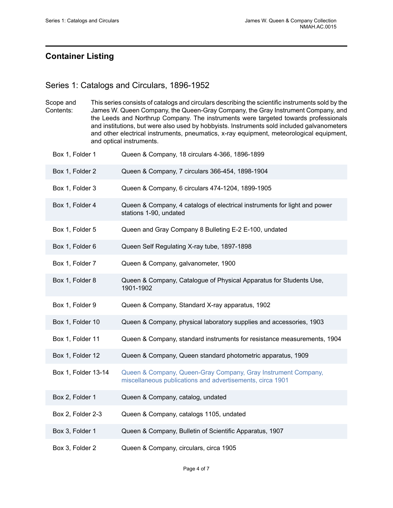## <span id="page-5-0"></span>**Container Listing**

## <span id="page-5-1"></span>Series 1: Catalogs and Circulars, 1896-1952

| Scope and | This series consists of catalogs and circulars describing the scientific instruments sold by the |
|-----------|--------------------------------------------------------------------------------------------------|
| Contents: | James W. Queen Company, the Queen-Gray Company, the Gray Instrument Company, and                 |
|           | the Leeds and Northrup Company. The instruments were targeted towards professionals              |
|           | and institutions, but were also used by hobbyists. Instruments sold included galvanometers       |
|           | and other electrical instruments, pneumatics, x-ray equipment, meteorological equipment,         |
|           | and optical instruments.                                                                         |

| Box 1, Folder 1     | Queen & Company, 18 circulars 4-366, 1896-1899                                                                             |
|---------------------|----------------------------------------------------------------------------------------------------------------------------|
| Box 1, Folder 2     | Queen & Company, 7 circulars 366-454, 1898-1904                                                                            |
| Box 1, Folder 3     | Queen & Company, 6 circulars 474-1204, 1899-1905                                                                           |
| Box 1, Folder 4     | Queen & Company, 4 catalogs of electrical instruments for light and power<br>stations 1-90, undated                        |
| Box 1, Folder 5     | Queen and Gray Company 8 Bulleting E-2 E-100, undated                                                                      |
| Box 1, Folder 6     | Queen Self Regulating X-ray tube, 1897-1898                                                                                |
| Box 1, Folder 7     | Queen & Company, galvanometer, 1900                                                                                        |
| Box 1, Folder 8     | Queen & Company, Catalogue of Physical Apparatus for Students Use,<br>1901-1902                                            |
| Box 1, Folder 9     | Queen & Company, Standard X-ray apparatus, 1902                                                                            |
| Box 1, Folder 10    | Queen & Company, physical laboratory supplies and accessories, 1903                                                        |
| Box 1, Folder 11    | Queen & Company, standard instruments for resistance measurements, 1904                                                    |
| Box 1, Folder 12    | Queen & Company, Queen standard photometric apparatus, 1909                                                                |
| Box 1, Folder 13-14 | Queen & Company, Queen-Gray Company, Gray Instrument Company,<br>miscellaneous publications and advertisements, circa 1901 |
| Box 2, Folder 1     | Queen & Company, catalog, undated                                                                                          |
| Box 2, Folder 2-3   | Queen & Company, catalogs 1105, undated                                                                                    |
| Box 3, Folder 1     | Queen & Company, Bulletin of Scientific Apparatus, 1907                                                                    |
| Box 3, Folder 2     | Queen & Company, circulars, circa 1905                                                                                     |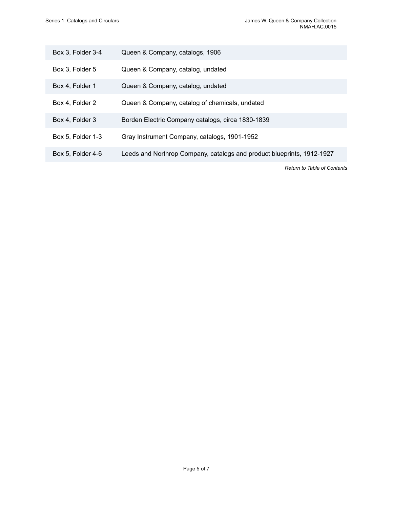| Box 3, Folder 3-4 | Queen & Company, catalogs, 1906                                        |
|-------------------|------------------------------------------------------------------------|
| Box 3, Folder 5   | Queen & Company, catalog, undated                                      |
| Box 4, Folder 1   | Queen & Company, catalog, undated                                      |
| Box 4, Folder 2   | Queen & Company, catalog of chemicals, undated                         |
| Box 4, Folder 3   | Borden Electric Company catalogs, circa 1830-1839                      |
| Box 5, Folder 1-3 | Gray Instrument Company, catalogs, 1901-1952                           |
| Box 5, Folder 4-6 | Leeds and Northrop Company, catalogs and product blueprints, 1912-1927 |
|                   |                                                                        |

*Return to Table of [Contents](#page-1-0)*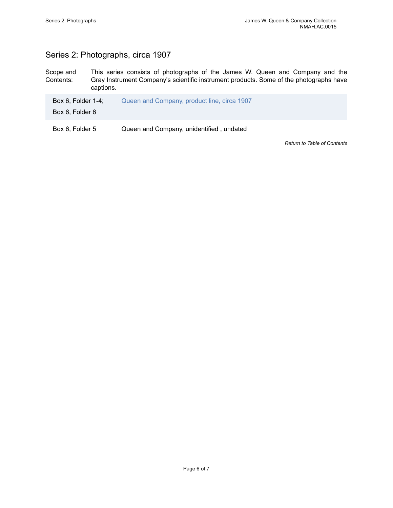## <span id="page-7-0"></span>Series 2: Photographs, circa 1907

Scope and Contents: This series consists of photographs of the James W. Queen and Company and the Gray Instrument Company's scientific instrument products. Some of the photographs have captions.

| Box 6, Folder $1-4$ ;    | Queen and Company, product line, circa 1907 |
|--------------------------|---------------------------------------------|
| Box 6, Folder 6          |                                             |
| $\overline{\phantom{a}}$ |                                             |

Box 6, Folder 5 Queen and Company, unidentified, undated

*Return to Table of [Contents](#page-1-0)*